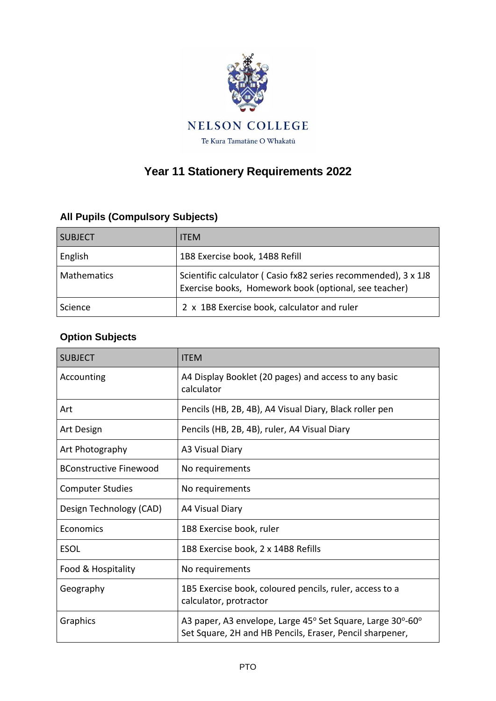

## **Year 11 Stationery Requirements 2022**

## **All Pupils (Compulsory Subjects)**

| <b>SUBJECT</b>     | <b>ITEM</b>                                                                                                             |
|--------------------|-------------------------------------------------------------------------------------------------------------------------|
| English            | 1B8 Exercise book, 14B8 Refill                                                                                          |
| <b>Mathematics</b> | Scientific calculator (Casio fx82 series recommended), 3 x 1J8<br>Exercise books, Homework book (optional, see teacher) |
| Science            | 2 x 1B8 Exercise book, calculator and ruler                                                                             |

## **Option Subjects**

| <b>SUBJECT</b>                | <b>ITEM</b>                                                                                                            |
|-------------------------------|------------------------------------------------------------------------------------------------------------------------|
| Accounting                    | A4 Display Booklet (20 pages) and access to any basic<br>calculator                                                    |
| Art                           | Pencils (HB, 2B, 4B), A4 Visual Diary, Black roller pen                                                                |
| Art Design                    | Pencils (HB, 2B, 4B), ruler, A4 Visual Diary                                                                           |
| Art Photography               | A3 Visual Diary                                                                                                        |
| <b>BConstructive Finewood</b> | No requirements                                                                                                        |
| <b>Computer Studies</b>       | No requirements                                                                                                        |
| Design Technology (CAD)       | A4 Visual Diary                                                                                                        |
| Economics                     | 1B8 Exercise book, ruler                                                                                               |
| <b>ESOL</b>                   | 1B8 Exercise book, 2 x 14B8 Refills                                                                                    |
| Food & Hospitality            | No requirements                                                                                                        |
| Geography                     | 1B5 Exercise book, coloured pencils, ruler, access to a<br>calculator, protractor                                      |
| Graphics                      | A3 paper, A3 envelope, Large 45° Set Square, Large 30°-60°<br>Set Square, 2H and HB Pencils, Eraser, Pencil sharpener, |